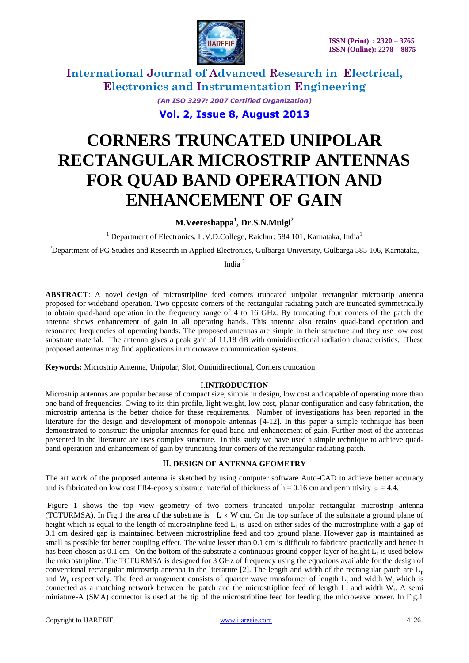

*(An ISO 3297: 2007 Certified Organization)*

**Vol. 2, Issue 8, August 2013**

# **CORNERS TRUNCATED UNIPOLAR RECTANGULAR MICROSTRIP ANTENNAS FOR QUAD BAND OPERATION AND ENHANCEMENT OF GAIN**

**M.Veereshappa<sup>1</sup> , Dr.S.N.Mulgi<sup>2</sup>**

<sup>1</sup> Department of Electronics, L.V.D.College, Raichur: 584 101, Karnataka, India<sup>1</sup>

<sup>2</sup>Department of PG Studies and Research in Applied Electronics, Gulbarga University, Gulbarga 585 106, Karnataka,

India <sup>2</sup>

**ABSTRACT**: A novel design of microstripline feed corners truncated unipolar rectangular microstrip antenna proposed for wideband operation. Two opposite corners of the rectangular radiating patch are truncated symmetrically to obtain quad-band operation in the frequency range of 4 to 16 GHz. By truncating four corners of the patch the antenna shows enhancement of gain in all operating bands. This antenna also retains quad-band operation and resonance frequencies of operating bands. The proposed antennas are simple in their structure and they use low cost substrate material. The antenna gives a peak gain of 11.18 dB with ominidirectional radiation characteristics. These proposed antennas may find applications in microwave communication systems.

**Keywords:** Microstrip Antenna, Unipolar, Slot, Ominidirectional, Corners truncation

### I.**INTRODUCTION**

Microstrip antennas are popular because of compact size, simple in design, low cost and capable of operating more than one band of frequencies. Owing to its thin profile, light weight, low cost, planar configuration and easy fabrication, the microstrip antenna is the better choice for these requirements. Number of investigations has been reported in the literature for the design and development of monopole antennas [4-12]. In this paper a simple technique has been demonstrated to construct the unipolar antennas for quad band and enhancement of gain. Further most of the antennas presented in the literature are uses complex structure. In this study we have used a simple technique to achieve quadband operation and enhancement of gain by truncating four corners of the rectangular radiating patch.

### II. **DESIGN OF ANTENNA GEOMETRY**

The art work of the proposed antenna is sketched by using computer software Auto-CAD to achieve better accuracy and is fabricated on low cost FR4-epoxy substrate material of thickness of  $h = 0.16$  cm and permittivity  $\varepsilon_r = 4.4$ .

Figure 1 shows the top view geometry of two corners truncated unipolar rectangular microstrip antenna (TCTURMSA). In Fig.1 the area of the substrate is  $L \times W$  cm. On the top surface of the substrate a ground plane of height which is equal to the length of microstripline feed  $L_f$  is used on either sides of the microstripline with a gap of 0.1 cm desired gap is maintained between microstripline feed and top ground plane. However gap is maintained as small as possible for better coupling effect. The value lesser than 0.1 cm is difficult to fabricate practically and hence it has been chosen as 0.1 cm. On the bottom of the substrate a continuous ground copper layer of height  $L_f$  is used below the microstripline. The TCTURMSA is designed for 3 GHz of frequency using the equations available for the design of conventional rectangular microstrip antenna in the literature [2]. The length and width of the rectangular patch are  $L_p$ and W<sub>p</sub> respectively. The feed arrangement consists of quarter wave transformer of length  $L_t$  and width W<sub>t</sub> which is connected as a matching network between the patch and the microstripline feed of length  $L_f$  and width  $W_f$ . A semi miniature-A (SMA) connector is used at the tip of the microstripline feed for feeding the microwave power. In Fig.1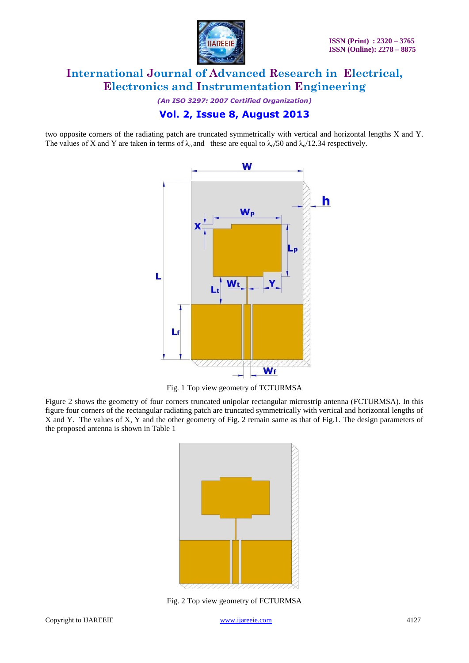

*(An ISO 3297: 2007 Certified Organization)*

### **Vol. 2, Issue 8, August 2013**

two opposite corners of the radiating patch are truncated symmetrically with vertical and horizontal lengths X and Y. The values of X and Y are taken in terms of  $\lambda_0$  and these are equal to  $\lambda$ /50 and  $\lambda$ /12.34 respectively.



Fig. 1 Top view geometry of TCTURMSA

Figure 2 shows the geometry of four corners truncated unipolar rectangular microstrip antenna (FCTURMSA). In this figure four corners of the rectangular radiating patch are truncated symmetrically with vertical and horizontal lengths of X and Y. The values of X, Y and the other geometry of Fig. 2 remain same as that of Fig.1. The design parameters of the proposed antenna is shown in Table 1



Fig. 2 Top view geometry of FCTURMSA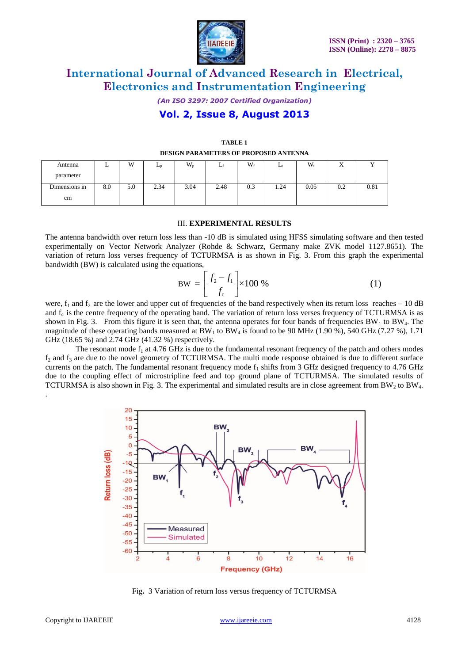

*(An ISO 3297: 2007 Certified Organization)*

### **Vol. 2, Issue 8, August 2013**

|               |     |     |                       |         |      | _____ |      | ______ |           |           |
|---------------|-----|-----|-----------------------|---------|------|-------|------|--------|-----------|-----------|
| Antenna       |     | W   | <b>L</b> <sub>n</sub> | $W_{p}$ |      | $W_f$ |      | $W_t$  | $\Lambda$ |           |
| parameter     |     |     |                       |         |      |       |      |        |           |           |
| Dimensions in | 8.0 | 5.0 | 2.34                  | 3.04    | 2.48 | 0.3   | 1.24 | 0.05   | 0.2       | $_{0.81}$ |
| cm            |     |     |                       |         |      |       |      |        |           |           |

### **TABLE 1 DESIGN PARAMETERS OF PROPOSED ANTENNA**

### III. **EXPERIMENTAL RESULTS**

The antenna bandwidth over return loss less than -10 dB is simulated using HFSS simulating software and then tested experimentally on Vector Network Analyzer (Rohde & Schwarz, Germany make ZVK model 1127.8651). The variation of return loss verses frequency of TCTURMSA is as shown in Fig. 3. From this graph the experimental bandwidth (BW) is calculated using the equations,<br> $BW = \left[ \frac{f_2 - f_1}{g} \right] \times 100\%$  (1) bandwidth (BW) is calculated using the equations,

3W) is calculated using the equations,  
\n
$$
BW = \left[\frac{f_2 - f_1}{f_c}\right] \times 100\%
$$
\n(1)

were,  $f_1$  and  $f_2$  are the lower and upper cut of frequencies of the band respectively when its return loss reaches – 10 dB and  $f_c$  is the centre frequency of the operating band. The variation of return loss verses frequency of TCTURMSA is as shown in Fig. 3. From this figure it is seen that, the antenna operates for four bands of frequencies  $BW_1$  to  $BW_4$ . The magnitude of these operating bands measured at  $BW_1$  to  $BW_4$  is found to be 90 MHz (1.90 %), 540 GHz (7.27 %), 1.71 GHz (18.65 %) and 2.74 GHz (41.32 %) respectively.

The resonant mode  $f_1$  at 4.76 GHz is due to the fundamental resonant frequency of the patch and others modes  $f_2$  and  $f_3$  are due to the novel geometry of TCTURMSA. The multi mode response obtained is due to different surface currents on the patch. The fundamental resonant frequency mode  $f_1$  shifts from 3 GHz designed frequency to 4.76 GHz due to the coupling effect of microstripline feed and top ground plane of TCTURMSA. The simulated results of TCTURMSA is also shown in Fig. 3. The experimental and simulated results are in close agreement from  $BW_2$  to  $BW_4$ .



Fig**.** 3 Variation of return loss versus frequency of TCTURMSA

.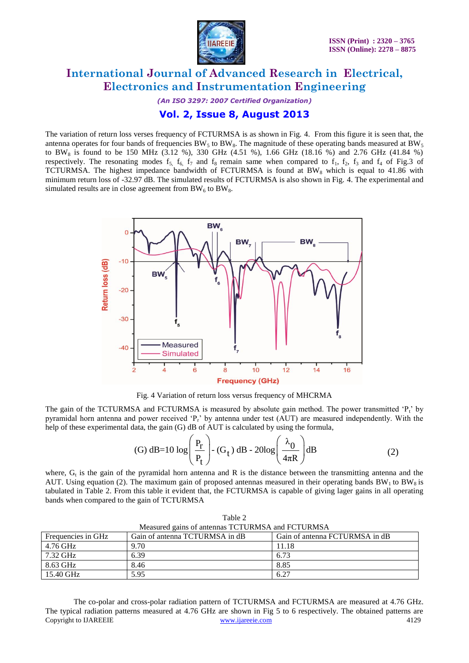

*(An ISO 3297: 2007 Certified Organization)*

### **Vol. 2, Issue 8, August 2013**

The variation of return loss verses frequency of FCTURMSA is as shown in Fig. 4. From this figure it is seen that, the antenna operates for four bands of frequencies BW<sub>5</sub> to BW<sub>8</sub>. The magnitude of these operating bands measured at BW<sub>5</sub> to BW<sub>8</sub> is found to be 150 MHz (3.12 %), 330 GHz (4.51 %), 1.66 GHz (18.16 %) and 2.76 GHz (41.84 %) respectively. The resonating modes  $f_5$ ,  $f_6$ ,  $f_7$  and  $f_8$  remain same when compared to  $f_1$ ,  $f_2$ ,  $f_3$  and  $f_4$  of Fig.3 of TCTURMSA. The highest impedance bandwidth of FCTURMSA is found at  $BW_8$  which is equal to 41.86 with minimum return loss of -32.97 dB. The simulated results of FCTURMSA is also shown in Fig. 4. The experimental and simulated results are in close agreement from  $BW_6$  to  $BW_8$ .



Fig. 4 Variation of return loss versus frequency of MHCRMA

The gain of the TCTURMSA and FCTURMSA is measured by absolute gain method. The power transmitted  ${}^{c}P_{t}$  by pyramidal horn antenna and power received "Pr" by antenna under test (AUT) are measured independently. With the

Pyrational from antenna and power received 
$$
T_r
$$
 by antenna under test (AO T) are measured independently.  
\nhelp of these experimental data, the gain (G) dB of AUT is calculated by using the formula,  
\n(G) dB=10 log  $\left(\frac{P_r}{P_t}\right)$  - (G<sub>t</sub>) dB - 20log  $\left(\frac{\lambda_0}{4\pi R}\right)$  dB (2)

where,  $G_t$  is the gain of the pyramidal horn antenna and R is the distance between the transmitting antenna and the AUT. Using equation (2). The maximum gain of proposed antennas measured in their operating bands  $BW<sub>1</sub>$  to BW<sub>8</sub> is tabulated in Table 2. From this table it evident that, the FCTURMSA is capable of giving lager gains in all operating bands when compared to the gain of TCTURMSA

| Table 2                                          |                                |                                |  |  |  |  |  |  |
|--------------------------------------------------|--------------------------------|--------------------------------|--|--|--|--|--|--|
| Measured gains of antennas TCTURMSA and FCTURMSA |                                |                                |  |  |  |  |  |  |
| Frequencies in GHz                               | Gain of antenna TCTURMSA in dB | Gain of antenna FCTURMSA in dB |  |  |  |  |  |  |
| 4.76 GHz                                         | 9.70                           | 11.18                          |  |  |  |  |  |  |
| 7.32 GHz                                         | 6.39                           | 6.73                           |  |  |  |  |  |  |
| 8.63 GHz                                         | 8.46                           | 8.85                           |  |  |  |  |  |  |
| 15.40 GHz                                        | 5.95                           | 6.27                           |  |  |  |  |  |  |

Copyright to IJAREEIE [www.ijareeie.com](http://www.ijareeie.com/) 4129 The co-polar and cross-polar radiation pattern of TCTURMSA and FCTURMSA are measured at 4.76 GHz. The typical radiation patterns measured at 4.76 GHz are shown in Fig 5 to 6 respectively. The obtained patterns are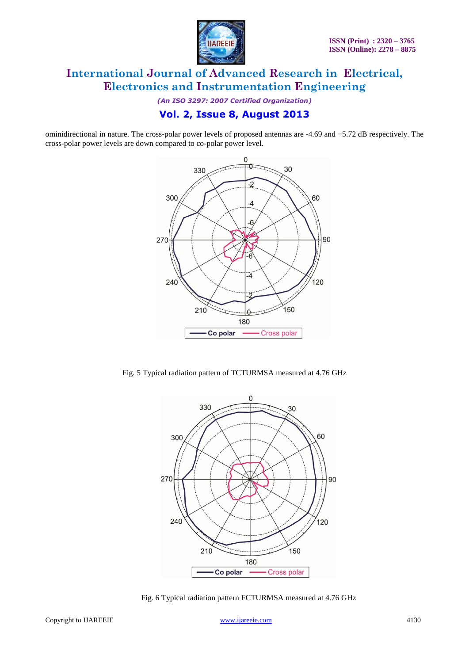

*(An ISO 3297: 2007 Certified Organization)*

# **Vol. 2, Issue 8, August 2013**

ominidirectional in nature. The cross-polar power levels of proposed antennas are -4.69 and −5.72 dB respectively. The cross-polar power levels are down compared to co-polar power level.



Fig. 5 Typical radiation pattern of TCTURMSA measured at 4.76 GHz



Fig. 6 Typical radiation pattern FCTURMSA measured at 4.76 GHz